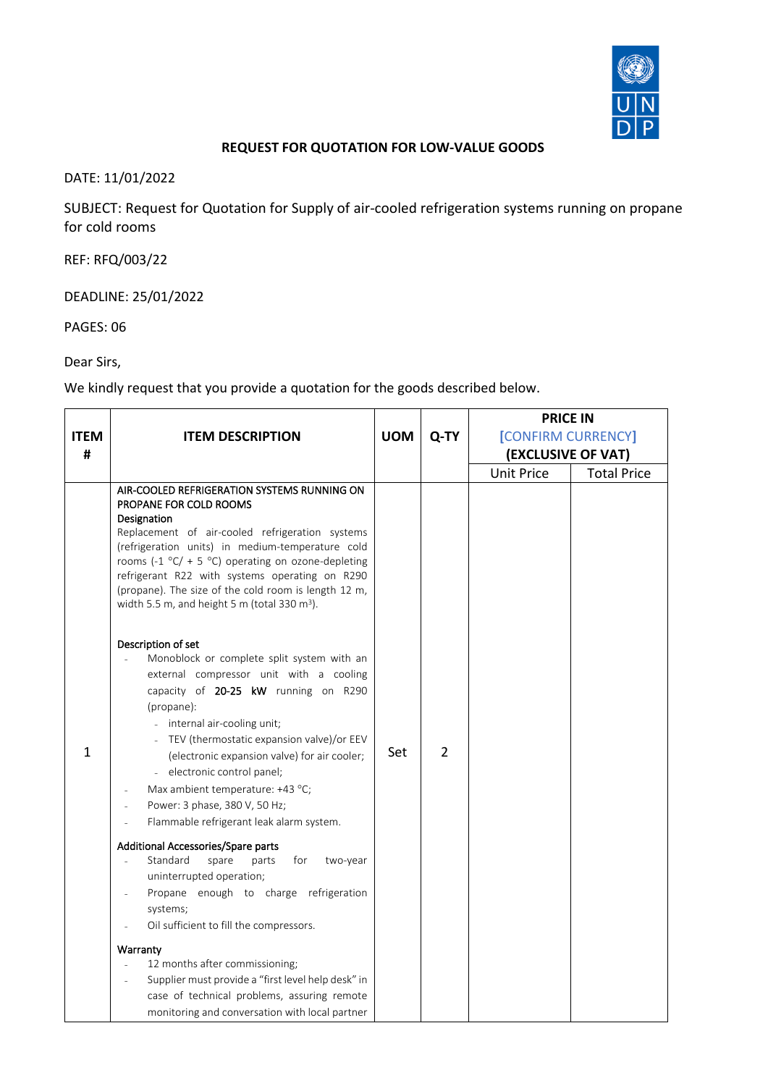

## **REQUEST FOR QUOTATION FOR LOW-VALUE GOODS**

DATE: 11/01/2022

SUBJECT: Request for Quotation for Supply of air-cooled refrigeration systems running on propane for cold rooms

REF: RFQ/003/22

DEADLINE: 25/01/2022

PAGES: 06

Dear Sirs,

We kindly request that you provide a quotation for the goods described below.

|              |                                                                                                                                                                                                                                                                                                                                                                                                                                                                                                                                                                                                                                                                                                                                                                                                                                                                                                                                                                                                                                                                                                                                                                                                                                                                                                                      | <b>PRICE IN</b> |                |                    |                    |
|--------------|----------------------------------------------------------------------------------------------------------------------------------------------------------------------------------------------------------------------------------------------------------------------------------------------------------------------------------------------------------------------------------------------------------------------------------------------------------------------------------------------------------------------------------------------------------------------------------------------------------------------------------------------------------------------------------------------------------------------------------------------------------------------------------------------------------------------------------------------------------------------------------------------------------------------------------------------------------------------------------------------------------------------------------------------------------------------------------------------------------------------------------------------------------------------------------------------------------------------------------------------------------------------------------------------------------------------|-----------------|----------------|--------------------|--------------------|
| <b>ITEM</b>  | <b>ITEM DESCRIPTION</b>                                                                                                                                                                                                                                                                                                                                                                                                                                                                                                                                                                                                                                                                                                                                                                                                                                                                                                                                                                                                                                                                                                                                                                                                                                                                                              | <b>UOM</b>      | Q-TY           | [CONFIRM CURRENCY] |                    |
| #            |                                                                                                                                                                                                                                                                                                                                                                                                                                                                                                                                                                                                                                                                                                                                                                                                                                                                                                                                                                                                                                                                                                                                                                                                                                                                                                                      |                 |                | (EXCLUSIVE OF VAT) |                    |
|              |                                                                                                                                                                                                                                                                                                                                                                                                                                                                                                                                                                                                                                                                                                                                                                                                                                                                                                                                                                                                                                                                                                                                                                                                                                                                                                                      |                 |                | <b>Unit Price</b>  | <b>Total Price</b> |
| $\mathbf{1}$ | AIR-COOLED REFRIGERATION SYSTEMS RUNNING ON<br>PROPANE FOR COLD ROOMS<br>Designation<br>Replacement of air-cooled refrigeration systems<br>(refrigeration units) in medium-temperature cold<br>rooms (-1 $^{\circ}$ C/ + 5 $^{\circ}$ C) operating on ozone-depleting<br>refrigerant R22 with systems operating on R290<br>(propane). The size of the cold room is length 12 m,<br>width 5.5 m, and height 5 m (total 330 m <sup>3</sup> ).<br>Description of set<br>Monoblock or complete split system with an<br>external compressor unit with a cooling<br>capacity of 20-25 kW running on R290<br>(propane):<br>- internal air-cooling unit;<br>TEV (thermostatic expansion valve)/or EEV<br>(electronic expansion valve) for air cooler;<br>electronic control panel;<br>Max ambient temperature: +43 °C;<br>Power: 3 phase, 380 V, 50 Hz;<br>Flammable refrigerant leak alarm system.<br>Additional Accessories/Spare parts<br>Standard<br>spare<br>parts<br>for<br>two-year<br>uninterrupted operation;<br>Propane enough to charge refrigeration<br>systems;<br>Oil sufficient to fill the compressors.<br>Warranty<br>12 months after commissioning;<br>Supplier must provide a "first level help desk" in<br>case of technical problems, assuring remote<br>monitoring and conversation with local partner | Set             | $\overline{2}$ |                    |                    |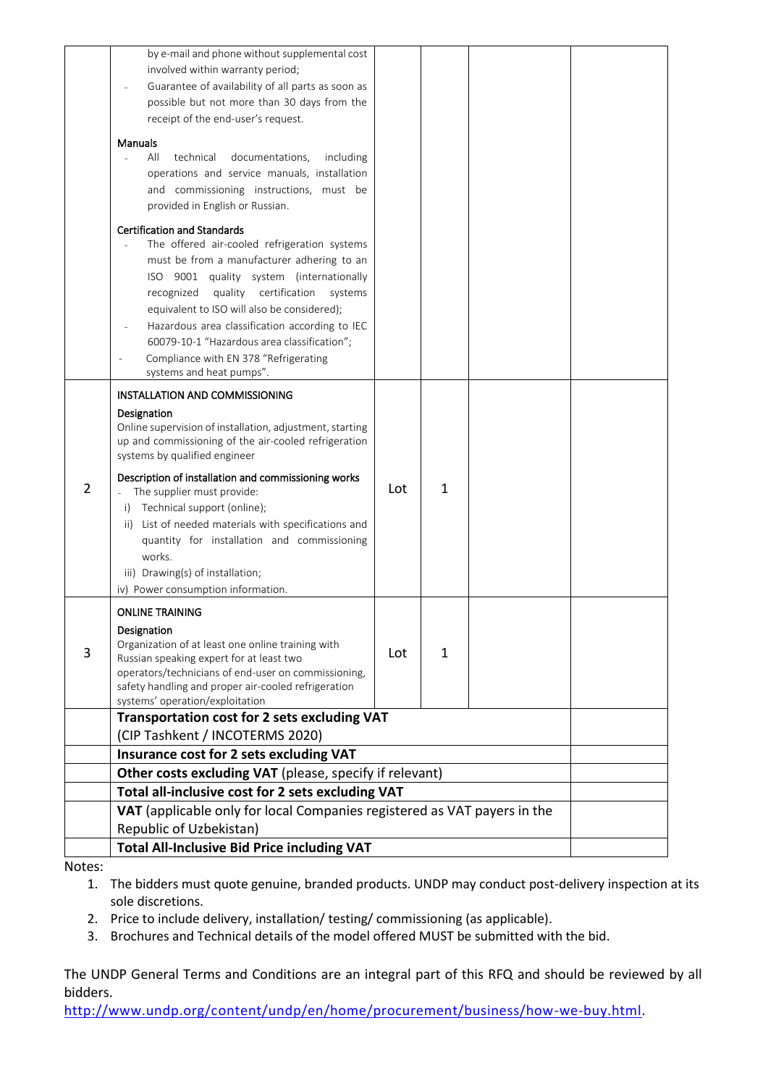|   | by e-mail and phone without supplemental cost<br>involved within warranty period;<br>Guarantee of availability of all parts as soon as<br>possible but not more than 30 days from the<br>receipt of the end-user's request.                                                                                                                                                                                                                            |                                                         |              |  |  |
|---|--------------------------------------------------------------------------------------------------------------------------------------------------------------------------------------------------------------------------------------------------------------------------------------------------------------------------------------------------------------------------------------------------------------------------------------------------------|---------------------------------------------------------|--------------|--|--|
|   | <b>Manuals</b><br>All<br>technical<br>documentations,<br>including<br>operations and service manuals, installation<br>and commissioning instructions, must be<br>provided in English or Russian.                                                                                                                                                                                                                                                       |                                                         |              |  |  |
|   | <b>Certification and Standards</b><br>The offered air-cooled refrigeration systems<br>must be from a manufacturer adhering to an<br>ISO 9001 quality system (internationally<br>certification<br>quality<br>recognized<br>systems<br>equivalent to ISO will also be considered);<br>Hazardous area classification according to IEC<br>60079-10-1 "Hazardous area classification";<br>Compliance with EN 378 "Refrigerating<br>systems and heat pumps". |                                                         |              |  |  |
|   | INSTALLATION AND COMMISSIONING<br>Designation<br>Online supervision of installation, adjustment, starting<br>up and commissioning of the air-cooled refrigeration<br>systems by qualified engineer                                                                                                                                                                                                                                                     |                                                         |              |  |  |
| 2 | Description of installation and commissioning works<br>The supplier must provide:<br>Technical support (online);<br>i)<br>ii) List of needed materials with specifications and<br>quantity for installation and commissioning<br>works.<br>iii) Drawing(s) of installation;<br>iv) Power consumption information.                                                                                                                                      | Lot                                                     | 1            |  |  |
| 3 | <b>ONLINE TRAINING</b><br>Designation<br>Organization of at least one online training with<br>Russian speaking expert for at least two<br>operators/technicians of end-user on commissioning,<br>safety handling and proper air-cooled refrigeration<br>systems' operation/exploitation                                                                                                                                                                | Lot                                                     | $\mathbf{1}$ |  |  |
|   | Transportation cost for 2 sets excluding VAT                                                                                                                                                                                                                                                                                                                                                                                                           |                                                         |              |  |  |
|   | (CIP Tashkent / INCOTERMS 2020)<br>Insurance cost for 2 sets excluding VAT                                                                                                                                                                                                                                                                                                                                                                             |                                                         |              |  |  |
|   |                                                                                                                                                                                                                                                                                                                                                                                                                                                        | Other costs excluding VAT (please, specify if relevant) |              |  |  |
|   | Total all-inclusive cost for 2 sets excluding VAT                                                                                                                                                                                                                                                                                                                                                                                                      |                                                         |              |  |  |
|   | VAT (applicable only for local Companies registered as VAT payers in the<br>Republic of Uzbekistan)                                                                                                                                                                                                                                                                                                                                                    |                                                         |              |  |  |
|   | <b>Total All-Inclusive Bid Price including VAT</b>                                                                                                                                                                                                                                                                                                                                                                                                     |                                                         |              |  |  |

Notes:

1. The bidders must quote genuine, branded products. UNDP may conduct post-delivery inspection at its sole discretions.

2. Price to include delivery, installation/ testing/ commissioning (as applicable).

3. Brochures and Technical details of the model offered MUST be submitted with the bid.

The UNDP General Terms and Conditions are an integral part of this RFQ and should be reviewed by all bidders.

[http://www.undp.org/content/undp/en/home/procurement/business/how-we-buy.html.](http://www.undp.org/content/undp/en/home/procurement/business/how-we-buy.html)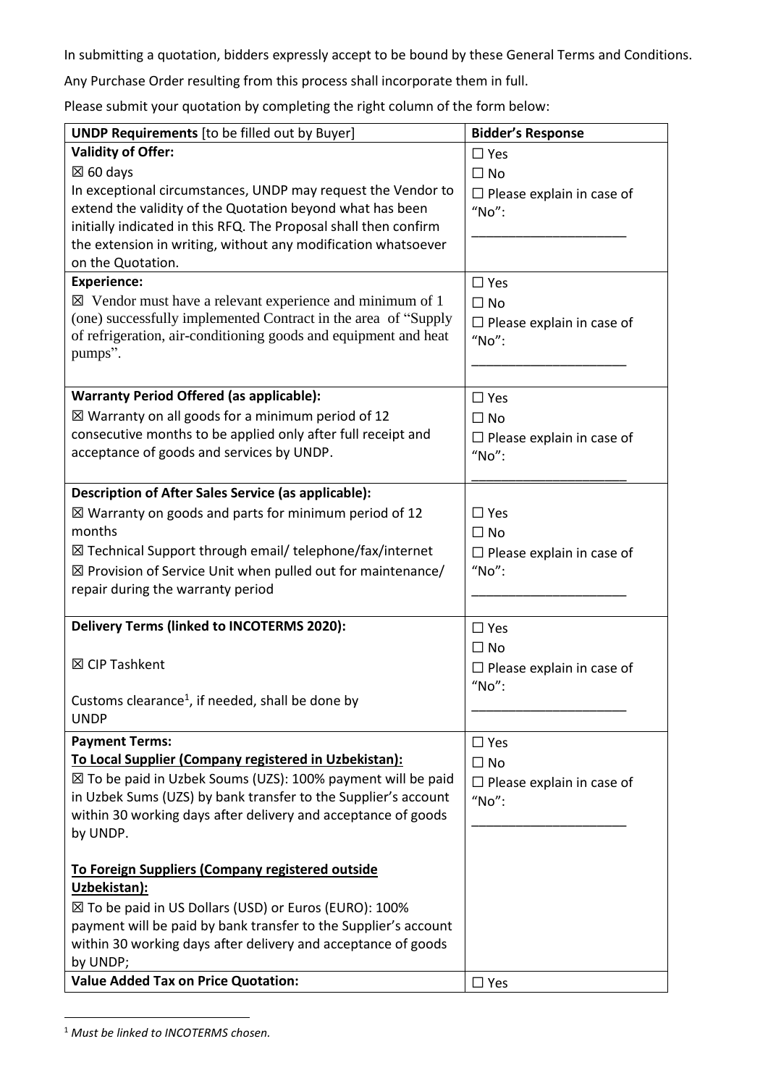In submitting a quotation, bidders expressly accept to be bound by these General Terms and Conditions.

Any Purchase Order resulting from this process shall incorporate them in full.

Please submit your quotation by completing the right column of the form below:

| <b>UNDP Requirements</b> [to be filled out by Buyer]                   | <b>Bidder's Response</b>                  |
|------------------------------------------------------------------------|-------------------------------------------|
| <b>Validity of Offer:</b>                                              | $\square$ Yes                             |
| $\boxtimes$ 60 days                                                    | $\Box$ No                                 |
| In exceptional circumstances, UNDP may request the Vendor to           | $\Box$ Please explain in case of          |
| extend the validity of the Quotation beyond what has been              | "No":                                     |
| initially indicated in this RFQ. The Proposal shall then confirm       |                                           |
| the extension in writing, without any modification whatsoever          |                                           |
| on the Quotation.                                                      |                                           |
| <b>Experience:</b>                                                     | $\Box$ Yes                                |
| $\boxtimes$ Vendor must have a relevant experience and minimum of 1    | $\Box$ No                                 |
| (one) successfully implemented Contract in the area of "Supply         | $\Box$ Please explain in case of          |
| of refrigeration, air-conditioning goods and equipment and heat        | "No":                                     |
| pumps".                                                                |                                           |
|                                                                        |                                           |
| <b>Warranty Period Offered (as applicable):</b>                        | $\square$ Yes                             |
| $\boxtimes$ Warranty on all goods for a minimum period of 12           | $\Box$ No                                 |
| consecutive months to be applied only after full receipt and           | $\Box$ Please explain in case of          |
| acceptance of goods and services by UNDP.                              | "No":                                     |
|                                                                        |                                           |
| Description of After Sales Service (as applicable):                    |                                           |
| $\boxtimes$ Warranty on goods and parts for minimum period of 12       | $\Box$ Yes                                |
| months                                                                 | $\Box$ No                                 |
| ⊠ Technical Support through email/ telephone/fax/internet              | $\Box$ Please explain in case of          |
| $\boxtimes$ Provision of Service Unit when pulled out for maintenance/ | "No":                                     |
| repair during the warranty period                                      |                                           |
|                                                                        |                                           |
| <b>Delivery Terms (linked to INCOTERMS 2020):</b>                      | $\Box$ Yes                                |
|                                                                        | $\Box$ No                                 |
| ⊠ CIP Tashkent                                                         |                                           |
|                                                                        | $\Box$ Please explain in case of<br>"No": |
| Customs clearance <sup>1</sup> , if needed, shall be done by           |                                           |
| <b>UNDP</b>                                                            |                                           |
| <b>Payment Terms:</b>                                                  | $\Box$ Yes                                |
| To Local Supplier (Company registered in Uzbekistan):                  |                                           |
| ⊠ To be paid in Uzbek Soums (UZS): 100% payment will be paid           | $\Box$ No                                 |
| in Uzbek Sums (UZS) by bank transfer to the Supplier's account         | $\Box$ Please explain in case of          |
| within 30 working days after delivery and acceptance of goods          | "No":                                     |
|                                                                        |                                           |
| by UNDP.                                                               |                                           |
| To Foreign Suppliers (Company registered outside                       |                                           |
| Uzbekistan):                                                           |                                           |
| ⊠ To be paid in US Dollars (USD) or Euros (EURO): 100%                 |                                           |
| payment will be paid by bank transfer to the Supplier's account        |                                           |
| within 30 working days after delivery and acceptance of goods          |                                           |
| by UNDP;                                                               |                                           |
| <b>Value Added Tax on Price Quotation:</b>                             | $\Box$ Yes                                |
|                                                                        |                                           |

<sup>1</sup> *Must be linked to INCOTERMS chosen.*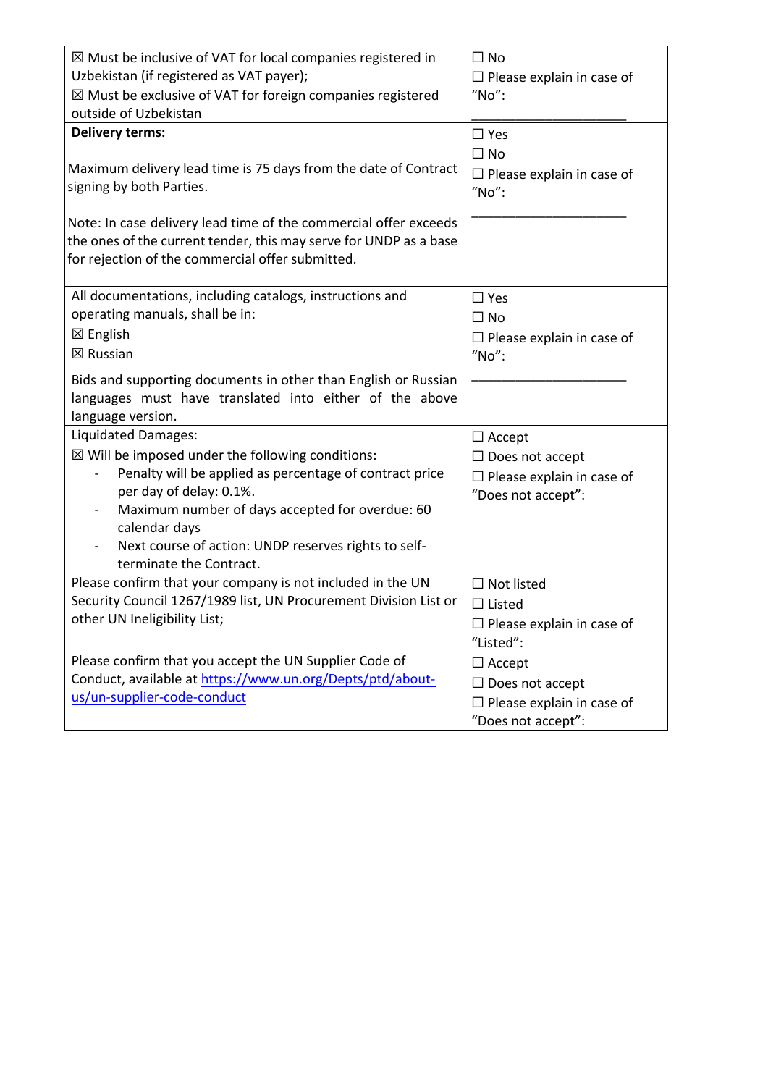| $\boxtimes$ Must be inclusive of VAT for local companies registered in<br>Uzbekistan (if registered as VAT payer);<br>$\boxtimes$ Must be exclusive of VAT for foreign companies registered<br>outside of Uzbekistan                                                                                                            | $\Box$ No<br>$\Box$ Please explain in case of<br>"No":                                            |
|---------------------------------------------------------------------------------------------------------------------------------------------------------------------------------------------------------------------------------------------------------------------------------------------------------------------------------|---------------------------------------------------------------------------------------------------|
| <b>Delivery terms:</b><br>Maximum delivery lead time is 75 days from the date of Contract<br>signing by both Parties.<br>Note: In case delivery lead time of the commercial offer exceeds<br>the ones of the current tender, this may serve for UNDP as a base<br>for rejection of the commercial offer submitted.              | $\Box$ Yes<br>$\Box$ No<br>$\Box$ Please explain in case of<br>"No":                              |
| All documentations, including catalogs, instructions and<br>operating manuals, shall be in:<br>$\boxtimes$ English<br>⊠ Russian<br>Bids and supporting documents in other than English or Russian<br>languages must have translated into either of the above<br>language version.                                               | $\Box$ Yes<br>$\Box$ No<br>$\Box$ Please explain in case of<br>"No":                              |
| Liquidated Damages:<br>$\boxtimes$ Will be imposed under the following conditions:<br>Penalty will be applied as percentage of contract price<br>per day of delay: 0.1%.<br>Maximum number of days accepted for overdue: 60<br>calendar days<br>Next course of action: UNDP reserves rights to self-<br>terminate the Contract. | $\Box$ Accept<br>$\Box$ Does not accept<br>$\Box$ Please explain in case of<br>"Does not accept": |
| Please confirm that your company is not included in the UN<br>Security Council 1267/1989 list, UN Procurement Division List or<br>other UN Ineligibility List;                                                                                                                                                                  | $\Box$ Not listed<br>$\Box$ Listed<br>$\Box$ Please explain in case of<br>"Listed":               |
| Please confirm that you accept the UN Supplier Code of<br>Conduct, available at https://www.un.org/Depts/ptd/about-<br>us/un-supplier-code-conduct                                                                                                                                                                              | $\Box$ Accept<br>$\Box$ Does not accept<br>$\Box$ Please explain in case of<br>"Does not accept": |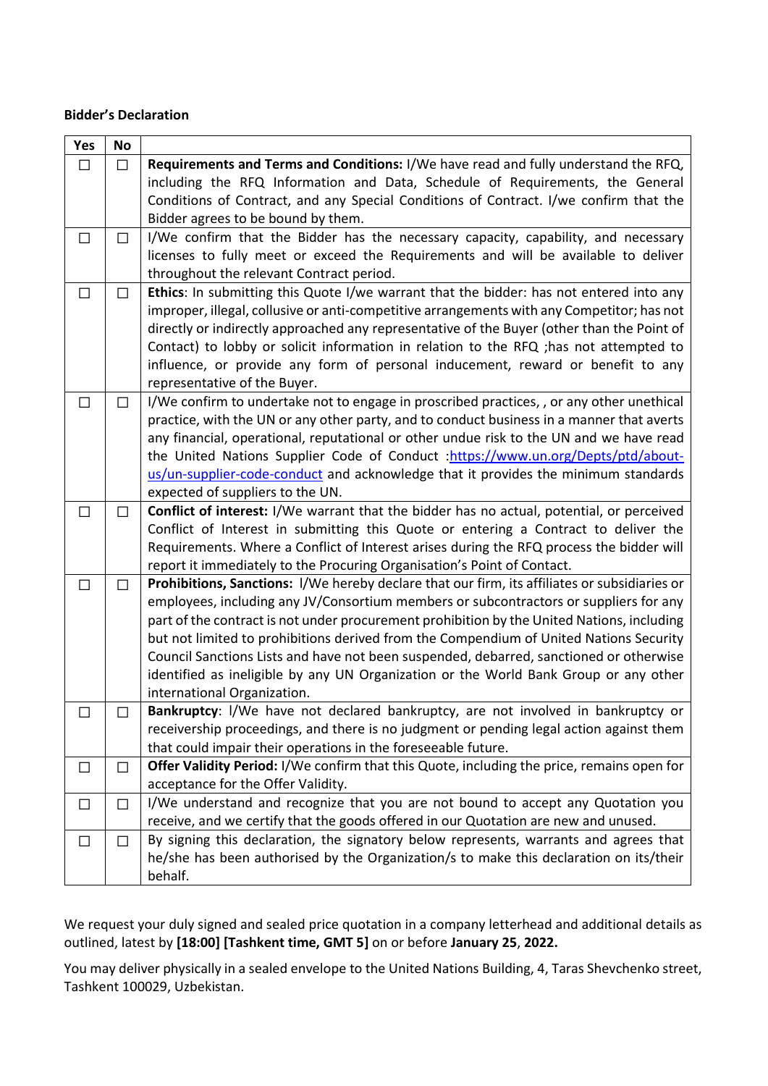## **Bidder's Declaration**

| Yes    | No     |                                                                                                                                                                                                                                                                                                                                                                                                                                                                                                                                                                                                 |
|--------|--------|-------------------------------------------------------------------------------------------------------------------------------------------------------------------------------------------------------------------------------------------------------------------------------------------------------------------------------------------------------------------------------------------------------------------------------------------------------------------------------------------------------------------------------------------------------------------------------------------------|
| $\Box$ | $\Box$ | Requirements and Terms and Conditions: I/We have read and fully understand the RFQ,<br>including the RFQ Information and Data, Schedule of Requirements, the General<br>Conditions of Contract, and any Special Conditions of Contract. I/we confirm that the<br>Bidder agrees to be bound by them.                                                                                                                                                                                                                                                                                             |
| $\Box$ | $\Box$ | I/We confirm that the Bidder has the necessary capacity, capability, and necessary<br>licenses to fully meet or exceed the Requirements and will be available to deliver<br>throughout the relevant Contract period.                                                                                                                                                                                                                                                                                                                                                                            |
| □      | $\Box$ | Ethics: In submitting this Quote I/we warrant that the bidder: has not entered into any<br>improper, illegal, collusive or anti-competitive arrangements with any Competitor; has not<br>directly or indirectly approached any representative of the Buyer (other than the Point of<br>Contact) to lobby or solicit information in relation to the RFQ ; has not attempted to<br>influence, or provide any form of personal inducement, reward or benefit to any<br>representative of the Buyer.                                                                                                |
| □      | $\Box$ | I/We confirm to undertake not to engage in proscribed practices, , or any other unethical<br>practice, with the UN or any other party, and to conduct business in a manner that averts<br>any financial, operational, reputational or other undue risk to the UN and we have read<br>the United Nations Supplier Code of Conduct :https://www.un.org/Depts/ptd/about-<br>us/un-supplier-code-conduct and acknowledge that it provides the minimum standards<br>expected of suppliers to the UN.                                                                                                 |
| $\Box$ | $\Box$ | Conflict of interest: I/We warrant that the bidder has no actual, potential, or perceived<br>Conflict of Interest in submitting this Quote or entering a Contract to deliver the<br>Requirements. Where a Conflict of Interest arises during the RFQ process the bidder will<br>report it immediately to the Procuring Organisation's Point of Contact.                                                                                                                                                                                                                                         |
| □      | П      | Prohibitions, Sanctions: I/We hereby declare that our firm, its affiliates or subsidiaries or<br>employees, including any JV/Consortium members or subcontractors or suppliers for any<br>part of the contract is not under procurement prohibition by the United Nations, including<br>but not limited to prohibitions derived from the Compendium of United Nations Security<br>Council Sanctions Lists and have not been suspended, debarred, sanctioned or otherwise<br>identified as ineligible by any UN Organization or the World Bank Group or any other<br>international Organization. |
|        |        | <b>Bankruptcy:</b> I/We have not declared bankruptcy, are not involved in bankruptcy or<br>receivership proceedings, and there is no judgment or pending legal action against them<br>that could impair their operations in the foreseeable future.                                                                                                                                                                                                                                                                                                                                             |
| $\Box$ | $\Box$ | Offer Validity Period: I/We confirm that this Quote, including the price, remains open for<br>acceptance for the Offer Validity.                                                                                                                                                                                                                                                                                                                                                                                                                                                                |
| $\Box$ | $\Box$ | I/We understand and recognize that you are not bound to accept any Quotation you<br>receive, and we certify that the goods offered in our Quotation are new and unused.                                                                                                                                                                                                                                                                                                                                                                                                                         |
| □      | П      | By signing this declaration, the signatory below represents, warrants and agrees that<br>he/she has been authorised by the Organization/s to make this declaration on its/their<br>behalf.                                                                                                                                                                                                                                                                                                                                                                                                      |

We request your duly signed and sealed price quotation in a company letterhead and additional details as outlined, latest by **[18:00] [Tashkent time, GMT 5]** on or before **January 25**, **2022.**

You may deliver physically in a sealed envelope to the United Nations Building, 4, Taras Shevchenko street, Tashkent 100029, Uzbekistan.